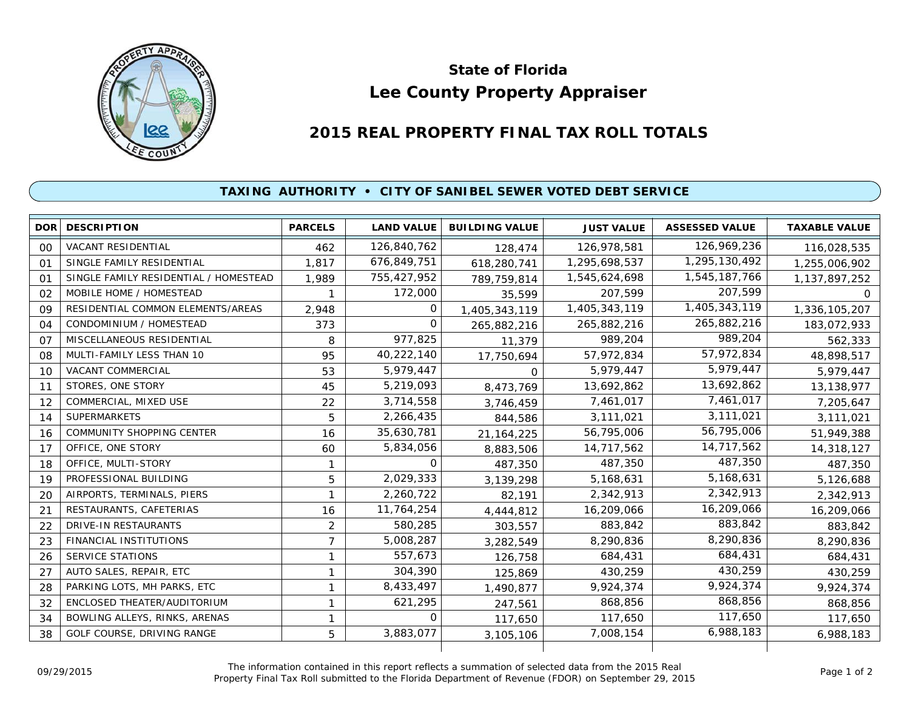

## **Lee County Property Appraiser State of Florida**

## **2015 REAL PROPERTY FINAL TAX ROLL TOTALS**

## **TAXING AUTHORITY • CITY OF SANIBEL SEWER VOTED DEBT SERVICE**

| <b>DOR</b> | <b>DESCRIPTION</b>                    | <b>PARCELS</b> | <b>LAND VALUE</b> | <b>BUILDING VALUE</b> | <b>JUST VALUE</b> | <b>ASSESSED VALUE</b> | <b>TAXABLE VALUE</b> |
|------------|---------------------------------------|----------------|-------------------|-----------------------|-------------------|-----------------------|----------------------|
| 00         | <b>VACANT RESIDENTIAL</b>             | 462            | 126,840,762       | 128,474               | 126,978,581       | 126,969,236           | 116,028,535          |
| 01         | SINGLE FAMILY RESIDENTIAL             | 1.817          | 676,849,751       | 618,280,741           | 1,295,698,537     | 1,295,130,492         | 1,255,006,902        |
| $^{\circ}$ | SINGLE FAMILY RESIDENTIAL / HOMESTEAD | 1,989          | 755,427,952       | 789,759,814           | 1,545,624,698     | 1,545,187,766         | 1,137,897,252        |
| 02         | MOBILE HOME / HOMESTEAD               |                | 172,000           | 35,599                | 207,599           | 207,599               | $\mathbf{O}$         |
| 09         | RESIDENTIAL COMMON ELEMENTS/AREAS     | 2,948          | $\Omega$          | 1,405,343,119         | 1,405,343,119     | 1,405,343,119         | 1,336,105,207        |
| 04         | CONDOMINIUM / HOMESTEAD               | 373            | 0                 | 265,882,216           | 265,882,216       | 265,882,216           | 183,072,933          |
| 07         | MISCELLANEOUS RESIDENTIAL             | 8              | 977,825           | 11,379                | 989.204           | 989,204               | 562,333              |
| 08         | MULTI-FAMILY LESS THAN 10             | 95             | 40,222,140        | 17,750,694            | 57,972,834        | 57,972,834            | 48,898,517           |
| 10         | VACANT COMMERCIAL                     | 53             | 5,979,447         | $\Omega$              | 5,979,447         | 5,979,447             | 5,979,447            |
| 11         | STORES, ONE STORY                     | 45             | 5,219,093         | 8,473,769             | 13,692,862        | 13,692,862            | 13,138,977           |
| 12         | COMMERCIAL, MIXED USE                 | 22             | 3,714,558         | 3,746,459             | 7,461,017         | 7,461,017             | 7,205,647            |
| 14         | <b>SUPERMARKETS</b>                   | 5              | 2,266,435         | 844,586               | 3,111,021         | 3,111,021             | 3,111,021            |
| 16         | <b>COMMUNITY SHOPPING CENTER</b>      | 16             | 35,630,781        | 21, 164, 225          | 56,795,006        | 56,795,006            | 51,949,388           |
| 17         | OFFICE, ONE STORY                     | 60             | 5,834,056         | 8,883,506             | 14,717,562        | 14,717,562            | 14,318,127           |
| 18         | OFFICE, MULTI-STORY                   |                | 0                 | 487,350               | 487,350           | 487,350               | 487,350              |
| 19         | PROFESSIONAL BUILDING                 | 5              | 2,029,333         | 3,139,298             | 5,168,631         | 5,168,631             | 5,126,688            |
| 20         | AIRPORTS, TERMINALS, PIERS            |                | 2,260,722         | 82,191                | 2,342,913         | 2,342,913             | 2,342,913            |
| 21         | RESTAURANTS, CAFETERIAS               | 16             | 11,764,254        | 4,444,812             | 16,209,066        | 16,209,066            | 16,209,066           |
| 22         | <b>DRIVE-IN RESTAURANTS</b>           | 2              | 580,285           | 303,557               | 883,842           | 883,842               | 883,842              |
| 23         | <b>FINANCIAL INSTITUTIONS</b>         | $\overline{7}$ | 5,008,287         | 3,282,549             | 8,290,836         | 8,290,836             | 8,290,836            |
| 26         | <b>SERVICE STATIONS</b>               | 1              | 557,673           | 126,758               | 684,431           | 684,431               | 684,431              |
| 27         | AUTO SALES, REPAIR, ETC               |                | 304,390           | 125,869               | 430,259           | 430,259               | 430,259              |
| 28         | PARKING LOTS, MH PARKS, ETC           | 1              | 8,433,497         | 1,490,877             | 9,924,374         | 9,924,374             | 9,924,374            |
| 32         | ENCLOSED THEATER/AUDITORIUM           | 1              | 621,295           | 247,561               | 868,856           | 868,856               | 868,856              |
| 34         | BOWLING ALLEYS, RINKS, ARENAS         | 1              | $\Omega$          | 117,650               | 117,650           | 117,650               | 117,650              |
| 38         | GOLF COURSE, DRIVING RANGE            | 5              | 3,883,077         | 3,105,106             | 7,008,154         | 6,988,183             | 6,988,183            |
|            |                                       |                |                   |                       |                   |                       |                      |

The information contained in this report reflects a summation of selected data from the 2015 Real Ine information contained in this report reflects a summation of selected data from the 2015 Real<br>Property Final Tax Roll submitted to the Florida Department of Revenue (FDOR) on September 29, 2015